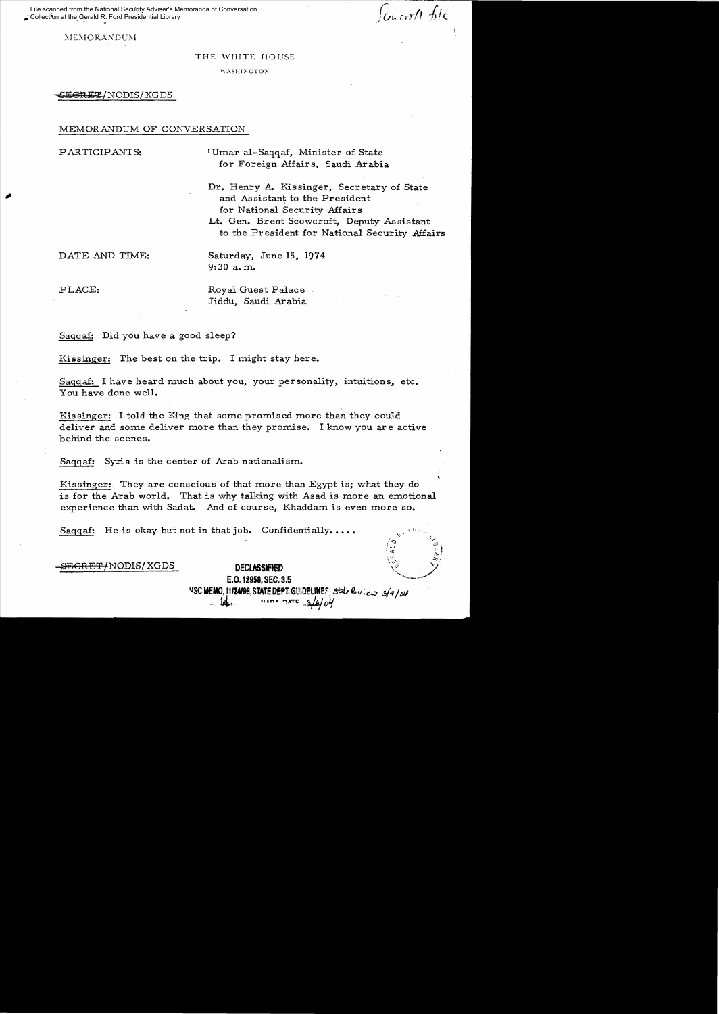File scanned from the National Security Adviser's Memoranda of Conversation Collection at the Gerald R. Ford Presidential Library

*Concrett* file

 $MEMORANDUM$ 

### THE WHITE HOUSE

**WASHINGTON** 

6E6REZ/NODIS/XGDS

# MEMORANDUM OF CONVERSATION

PARTICIPANTS: Umar al-Saqqaf, Minister of State for Foreign Affairs, Saudi Arabia

Dr. Henry A. Kissinger, Secretary of State<br>and Assistant to the President for National Security Affairs

> Lt. Gen. Brent Scowcroft, Deputy Assistant to the Pr esident for National Security Affairs

DATE AND TIME: Saturday, June 15, 1974

9:30 a. m.

PLACE: Royal Guest Palace Jiddu, Saudi Arabia

Saqqaf: Did you have a good sleep?

Kissinger: The best on the trip. I might stay here.

Saqqaf: I have heard much about you, your personality, intuitions, etc. You have done well.

Kissinger: I told the King that some promised more than they could deliver and some deliver more than they promise. I know you are active behind the scenes.

Saqgaf: Syria is the center of Arab nationalism.

Kissinger: They are conscious of that more than Egypt is; what they do is for the Arab world. That is why talking with Asad is more an emotional experience than with Sadat. And of course, Khaddam is even more so.

Saqqaf: He is okay but not in that job. Confidentially....

SEGRET/NODIS/XGDS DECLASSFIED

E.O. 12958, SEC. 3.5 **NSC MEMO, 11124198. STATE DEPT. GUIDELINES**, state leview 3/4/04 """  $\frac{1}{4}$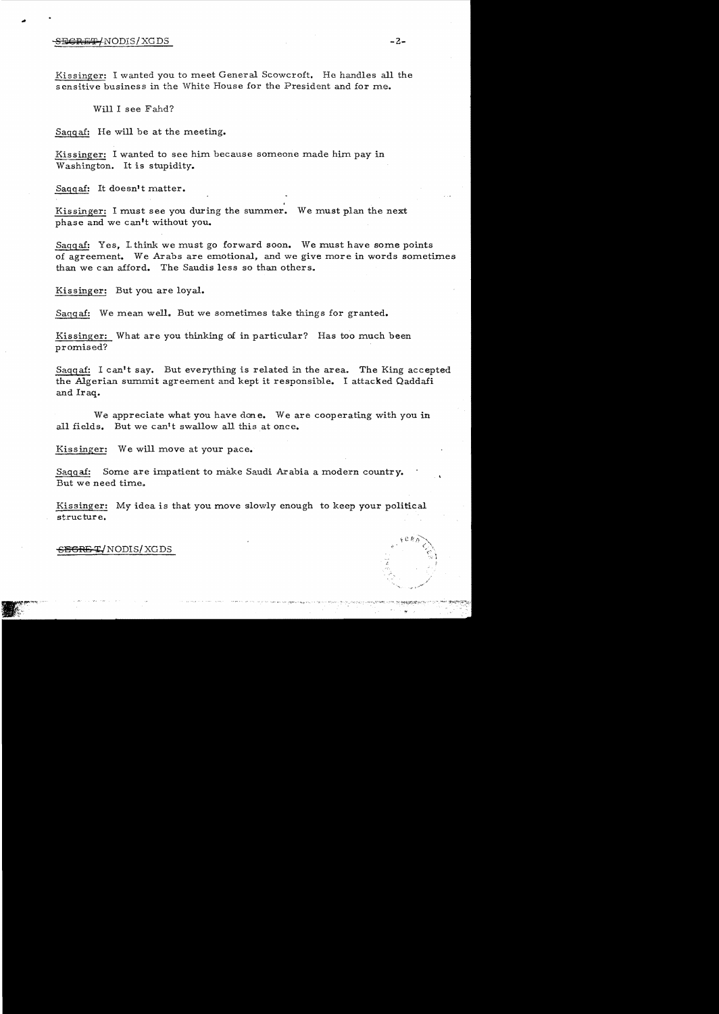## SE€RE'iF/NODIS/XGDS **-2**

Kissinger: I wanted you to meet General Scowcroft. He handles all the sensitive business in the White House for the President and for me.

Will I see Fahd?

Saggaf: He will be at the meeting.

Kissinger: I wanted to see him because someone made him pay in Washington. It is stupidity.

Saggaf: It doesn't matter.

Kissinger: I must see you during the summer. We must plan the next phase and we can't without you.

Saggaf: Yes, Lthink we must go forward soon. We must have some points of agreement. We Arabs are emotional, and we give more in words sometimes than we can afford. The Saudis less so than others.

Kissinger: But you are loyal.

Saqqaf: We mean well. But we sometimes take things for granted.

Kissinger: What are you thinking of in particular? Has too much been promised?

Saggaf: I can't say. But everything is related in the area. The King accepted the Algerian summit agreement and kept it responsible. I attacked Qaddafi and Iraq.

We appreciate what you have done. We are cooperating with you in all fields. But we can't swallow all this at once.

Kissinger: We will move at your pace.

Sagga£: Some are impatient to make Saudi Arabia a modern country. But we need time.

Kissinger: My idea is that you move slowly enough to keep your political structure.

 $-$ <del>SECRE T</del>/NODIS/XGDS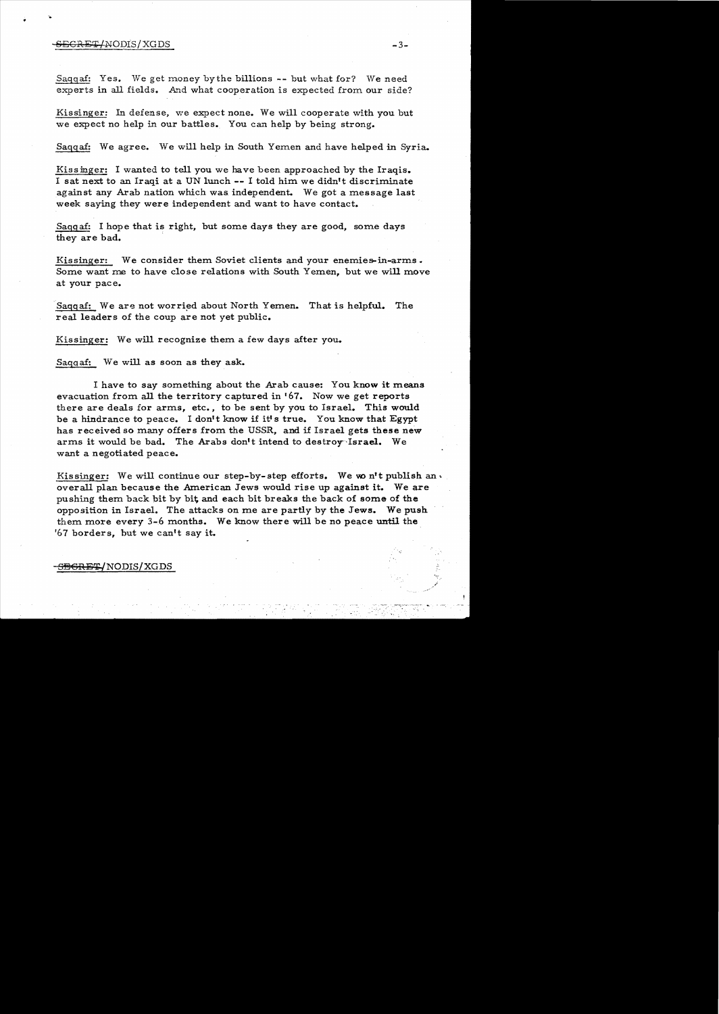#### $\overline{\text{SEGRE}}$  (NODIS/XGDS -3-

Saggaf: Yes. We get money by the billions -- but what for? We need experts in all fields. And what cooperation is expected from our side?

Kissinger: In defense, we expect none. We will cooperate with you but we expect no help in our battles. You can help by being strong.

Saggaf: We agree. We will help in South Yemen and have helped in Syria.

Kissinger: I wanted to tell you we have been approached by the Iraqis. I sat next to an Iraqi at a UN lunch **--** I told him we didn't discriminate against any Arab nation which was independent. We got a message last week saying they were independent and want to have contact.

Saqqaf: I hope that is right, but some days they are good, some days they are bad.

Kissinger: We consider them Soviet clients and your enemies-in-arms. Some want me to have close relations with South Yemen, but we will move at your pace.

Saggaf: We are not worried about North Yemen. That is helpful. The real leaders of the coup are not yet public.

Kissinger: We will recognize them a few days after you.

Saggaf: We will as soon as they ask.

I have to say something about the Arab cause: You know it means evacuation from all the territory captured in '67. Now we get reports there are deals for arms, etc., to be sent by you to Israel. This would be a hindrance to peace. I don't know if it's true. You know that Egypt has received so many offers from the USSR, and if Israel gets these new arms it would be bad. The Arabs don't intend to destroy Israel. We want a negotiated peace.

Kissinger: We will continue our step-by-step efforts. We won't publish an. overall plan because the American Jews would rise up against it. We are pushing them back bit by bit, and each bit breaks the back of some of the opposition in Israel. The attacks on me are partly by the Jews. We push. them more every  $3-6$  months. We know there will be no peace until the '67 borders, but we can't say it.

<del>SEGRET/</del>NODIS/XGDS

 $\mathcal{L}_{\mathbf{r},\mathbf{r}}$ 

i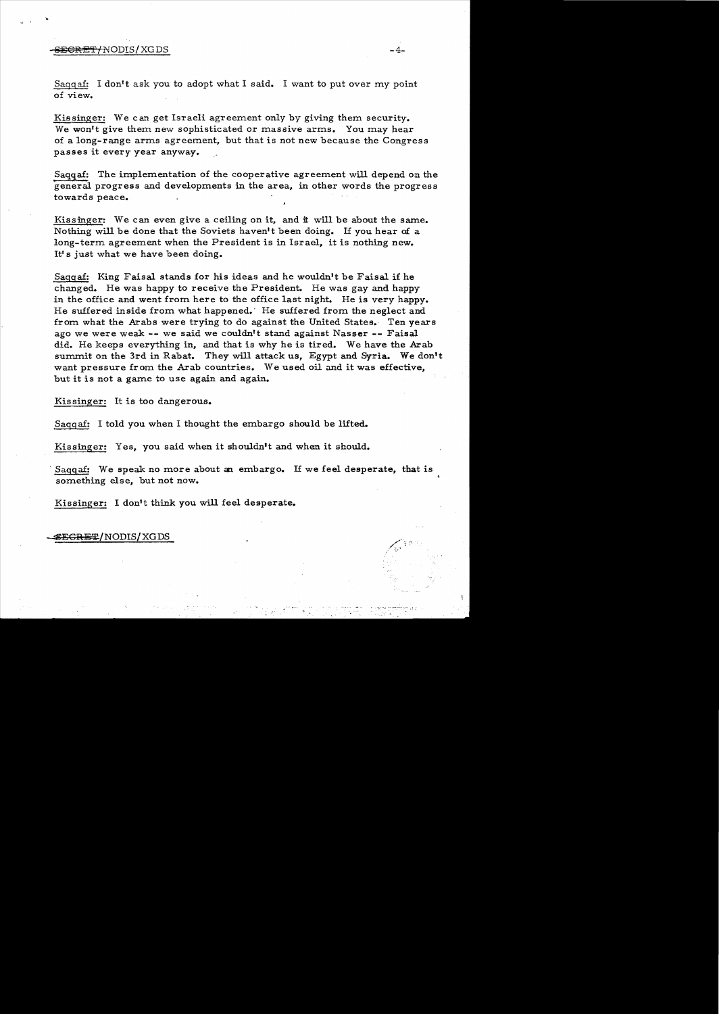# -,§i!CRE'i'lNODIS/XGDS -4

Sagqaf: I don't ask you to adopt what I said. I want to put over my point of view.

Kissinger: We can get Israeli agreement only by giving them security. We won't give them new sophisticated or massive arms. You may hear of a long-range arms agreement, but that is not new because the Congress passes it every year anyway.

Saqqa£: The implementation of the cooperative agreement will depend on the general progress and developments in the area, in other words the progress towards peace.

Kissinger: We can even give a ceiling on it, and it will be about the same. Nothing will be done that the Soviets haven't been doing. If you hear of a long-term agreement when the President is in Israel, it is nothing new. It's just what we have been doing.

Saggaf: King Faisal stands for his ideas and he wouldn't be Faisal if he changed. He was happy to receive the President. He was gay and happy in the office and went from here to the office last night. He is very happy. He suffered inside from what happened.' He suffered from the neglect and from what the Arabs were trying to do against the United States. Ten years ago we were weak **--** we said we couldn't stand against Nasser **--** Faisal did. He keeps everything in, and that is why he is tired. We have the Arab summit on the 3rd in Rabat. They will attack us, Egypt and Syria. We don't want pressure from the Arab countries. We used oil and it was effective, but it is not a game to use again and again.

Kissinger: It is too dangerous.

Sagg af: I told you when I thought the embargo should be lifted.

Kissinger: Yes, you said when it shouldn't and when it should.

Saggaf: We speak no more about an embargo. If we feel desperate, that is something else, but not now.

Kissinger: I don't think you will feel desperate.

 $$$ EGRET/NODIS/XGDS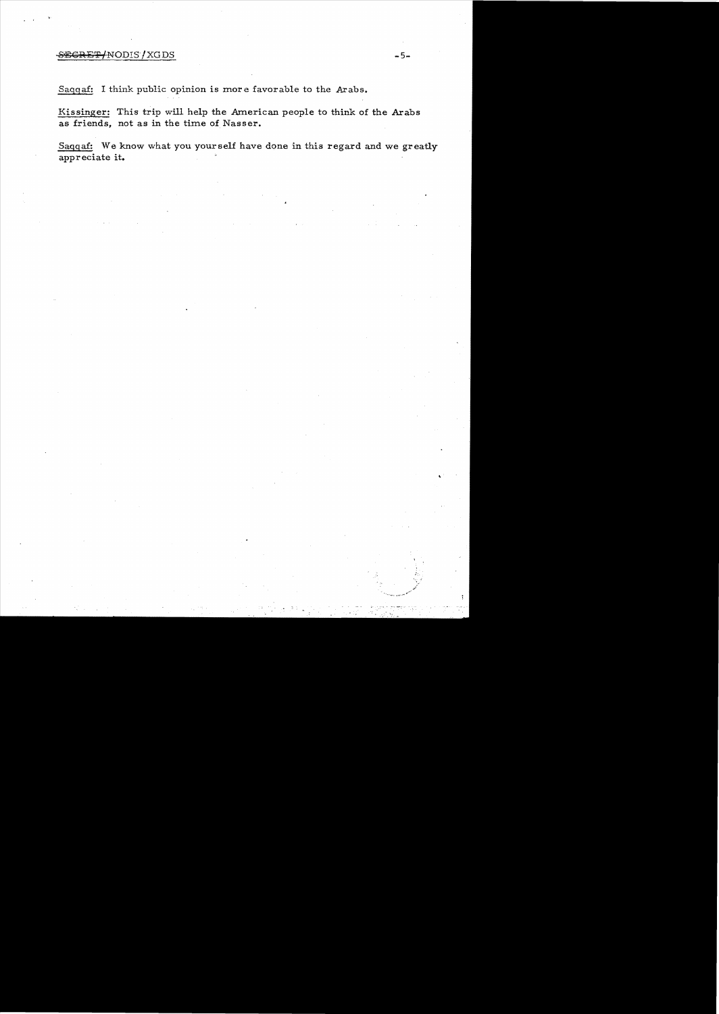# SECRET/NODIS/XGDS -5-

Saqqa£: I think public opinion is more favorable to the Arabs.

Kissinger: This trip will help the American people to think of the Arabs as friends, not as in the time of Nasser.

Sagga£: We know what you yourself have done in this regard and we greatly appreciate **it.**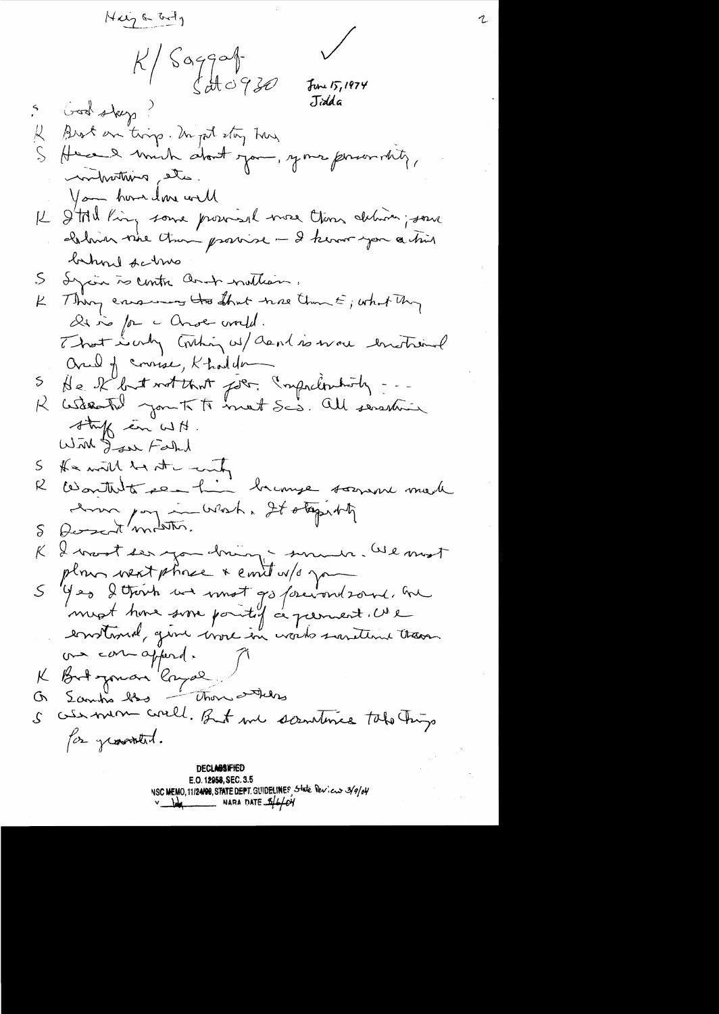$Hxy \in M_y$  $\sqrt{999}$  $\zeta$ HO930  $J$ une 15, 1974 Jidda Good skeep Brot on trip. In pot stay has Here I would about your, your personality, the amthinking You home done will I'MI King some provisione more than deliver; some  $\downarrow$ holmar whe than provise - I know you a this behood farms Igain is centre and nothing.  $\mathcal{S}% _{M_{1},M_{2}}^{\alpha,\beta}(\varepsilon)$ Thing ensuring the that was than E; what they  $\mu$ De no for a Chose world. That is only Contin w/ and is well Inistrainal and of course, Khadden He Kbutwitchnt for. Imprehensing ..  $\mathcal{D}_{\mathcal{A}}$ R astrotal joint to met Scs. All senation striff en WH. With Jaar Falked He will be at month S Wortherto se him humme K sorrand made Lour poy in Wash, It otopisty  $\sum_{i=1}^{n}$ I want ser you him in summer. We most K plan went phase & emit w/o yo  $\mathcal{S}$ Yes I tronh we most go forevoud some, he mot trons some pointif a premient. We enstand, give wore in words saration trans ou con ajourd. K But jouan 'longal Those and los G, Lambia bod us mon could. But me scentime toto trip  $\mathcal{S}$ for grownted. **DECLABSIFIED** 

E.O. 12958, SEC. 3.5 NSC MEMO, 11/24108, STATE DEPT. GUIDELINES, State Pericus 3/9/04  $v$  by NARA DATE  $\frac{6}{4}$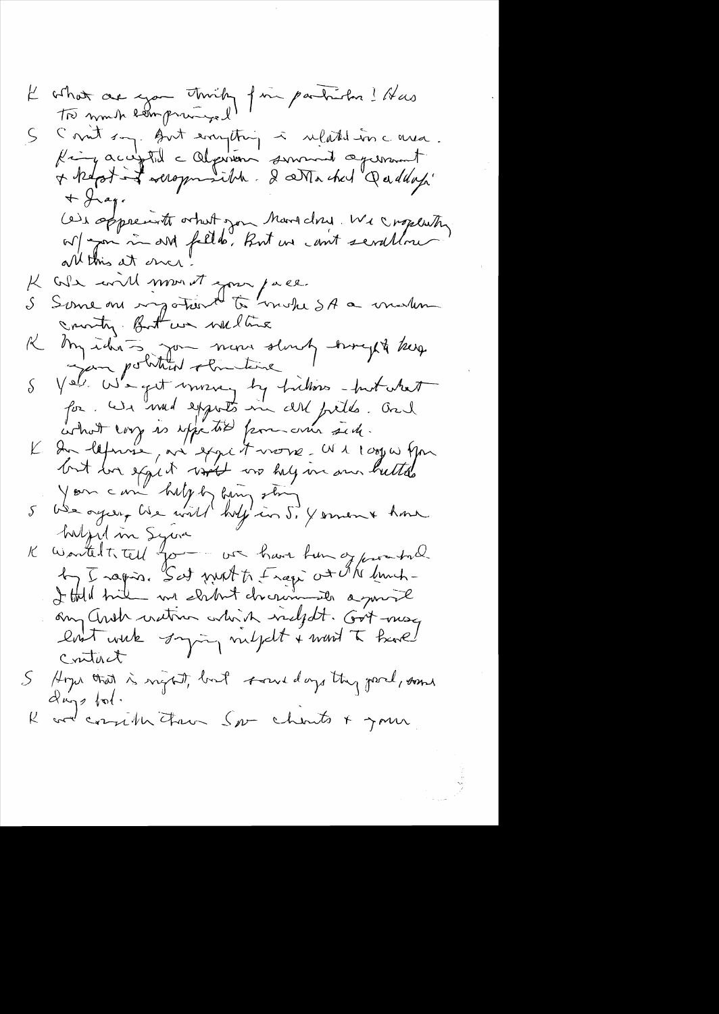$\frac{1}{2}$ 

 $\frac{1}{\sqrt{2}}$ 

 $\hat{\boldsymbol{\beta}}$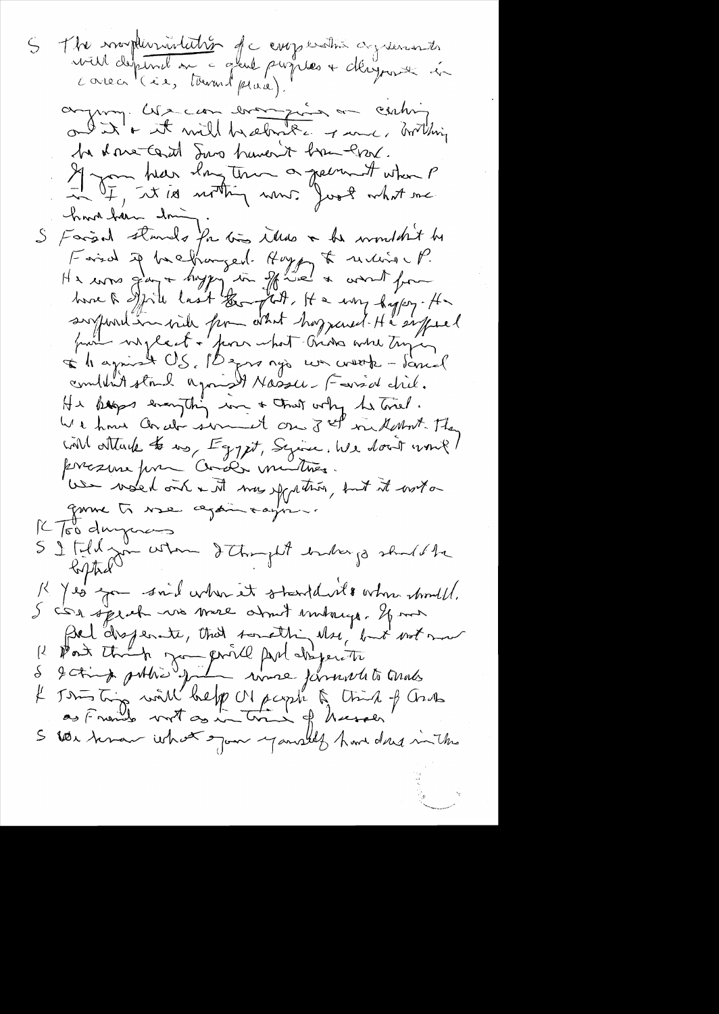S The marphematicitier de composition agriconntes ayen ces en brander de centre be done tant Suro haven't have lost. Il you hear ilong tour a greenwit when P have have don S Faisal stands for times illes a be wonder't be Faird if he hanged. Hoppy to receive P. He was gay + hope in grade & work from have a spite last the put, It a way hypey. Ha sylvent in with from what hoppened He suffered part vizlent + pour what tris what trying L'hagnist US, Bznanjo we werk - Sanil<br>combat strik agaist Nassu. Fousd did.<br>Hi keps everything in + Chat why he triel. We have an abi served on 3 el milant. They will attack to us, Egypt, Syrice, We don't won't present prin Cooli mutines. we work out a time you thing , but it with game to wae again rayon K Too duryoners S I tild zon when I thought index jo should be K Jeo zon said when it standard morn would.<br>S CSA speak was mere about embacque of me Rel disperante, that something that not mot John ting with help Macycle & think of Grass  $\mu$ S let moment what spon yourself have done in the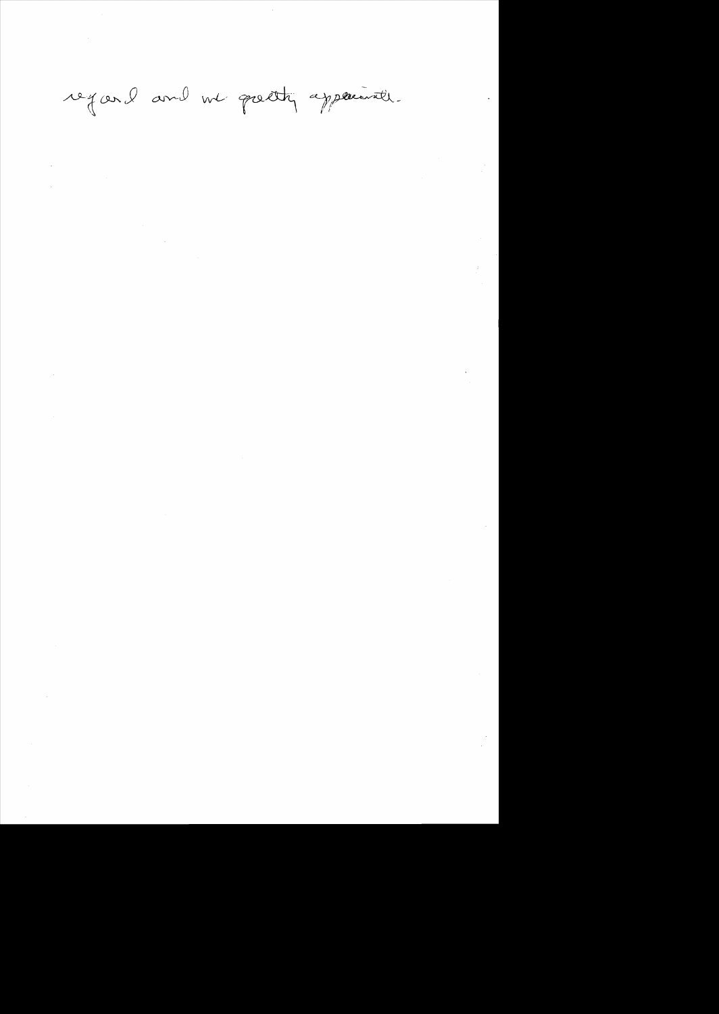regard and we pretty apparently.